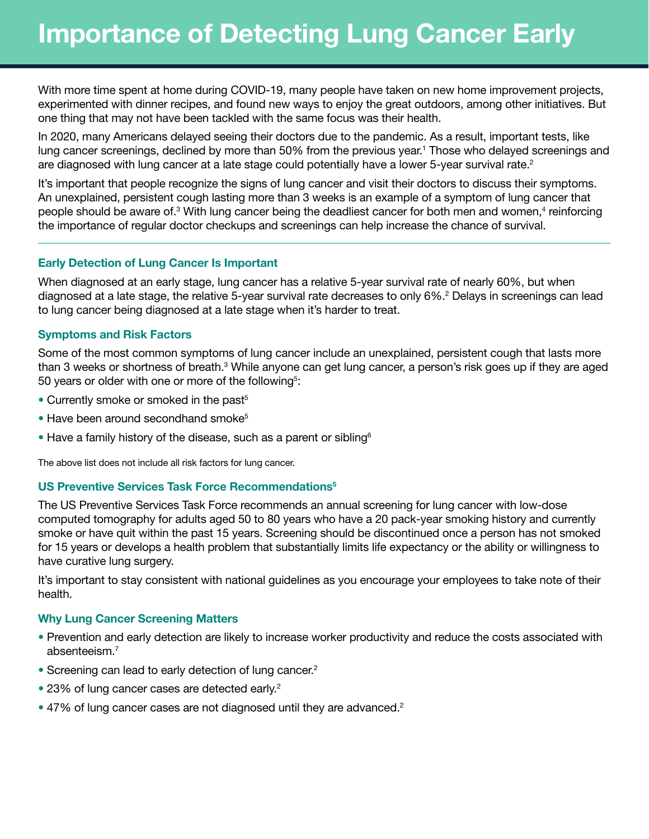# Importance of Detecting Lung Cancer Early

With more time spent at home during COVID-19, many people have taken on new home improvement projects, experimented with dinner recipes, and found new ways to enjoy the great outdoors, among other initiatives. But one thing that may not have been tackled with the same focus was their health.

In 2020, many Americans delayed seeing their doctors due to the pandemic. As a result, important tests, like lung cancer screenings, declined by more than 50% from the previous year.<sup>1</sup> Those who delayed screenings and are diagnosed with lung cancer at a late stage could potentially have a lower 5-year survival rate.<sup>2</sup>

It's important that people recognize the signs of lung cancer and visit their doctors to discuss their symptoms. An unexplained, persistent cough lasting more than 3 weeks is an example of a symptom of lung cancer that people should be aware of.<sup>3</sup> With lung cancer being the deadliest cancer for both men and women,<sup>4</sup> reinforcing the importance of regular doctor checkups and screenings can help increase the chance of survival.

## Early Detection of Lung Cancer Is Important

When diagnosed at an early stage, lung cancer has a relative 5-year survival rate of nearly 60%, but when diagnosed at a late stage, the relative 5-year survival rate decreases to only 6%.<sup>2</sup> Delays in screenings can lead to lung cancer being diagnosed at a late stage when it's harder to treat.

## Symptoms and Risk Factors

Some of the most common symptoms of lung cancer include an unexplained, persistent cough that lasts more than 3 weeks or shortness of breath.<sup>3</sup> While anyone can get lung cancer, a person's risk goes up if they are aged 50 years or older with one or more of the following<sup>5</sup>:

- Currently smoke or smoked in the past<sup>5</sup>
- Have been around secondhand smoke<sup>5</sup>
- Have a family history of the disease, such as a parent or sibling  $6$

The above list does not include all risk factors for lung cancer.

#### US Preventive Services Task Force Recommendations<sup>5</sup>

The US Preventive Services Task Force recommends an annual screening for lung cancer with low-dose computed tomography for adults aged 50 to 80 years who have a 20 pack-year smoking history and currently smoke or have quit within the past 15 years. Screening should be discontinued once a person has not smoked for 15 years or develops a health problem that substantially limits life expectancy or the ability or willingness to have curative lung surgery.

It's important to stay consistent with national guidelines as you encourage your employees to take note of their health.

#### Why Lung Cancer Screening Matters

- Prevention and early detection are likely to increase worker productivity and reduce the costs associated with absenteeism.7
- Screening can lead to early detection of lung cancer.<sup>2</sup>
- 23% of lung cancer cases are detected early.<sup>2</sup>
- 47% of lung cancer cases are not diagnosed until they are advanced.<sup>2</sup>